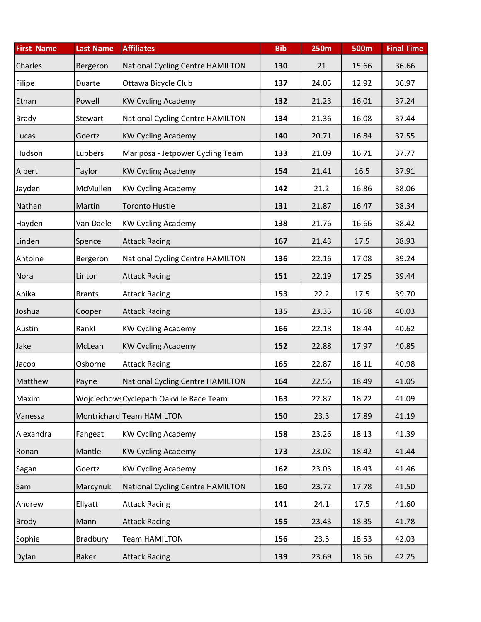| <b>First Name</b> | <b>Last Name</b> | <b>Affiliates</b>                        | <b>Bib</b> | <b>250m</b> | <b>500m</b> | <b>Final Time</b> |
|-------------------|------------------|------------------------------------------|------------|-------------|-------------|-------------------|
| Charles           | Bergeron         | National Cycling Centre HAMILTON         | 130        | 21          | 15.66       | 36.66             |
| Filipe            | Duarte           | Ottawa Bicycle Club                      | 137        | 24.05       | 12.92       | 36.97             |
| Ethan             | Powell           | <b>KW Cycling Academy</b>                | 132        | 21.23       | 16.01       | 37.24             |
| <b>Brady</b>      | Stewart          | National Cycling Centre HAMILTON         | 134        | 21.36       | 16.08       | 37.44             |
| Lucas             | Goertz           | <b>KW Cycling Academy</b>                | 140        | 20.71       | 16.84       | 37.55             |
| Hudson            | Lubbers          | Mariposa - Jetpower Cycling Team         | 133        | 21.09       | 16.71       | 37.77             |
| Albert            | Taylor           | <b>KW Cycling Academy</b>                | 154        | 21.41       | 16.5        | 37.91             |
| Jayden            | McMullen         | <b>KW Cycling Academy</b>                | 142        | 21.2        | 16.86       | 38.06             |
| Nathan            | Martin           | <b>Toronto Hustle</b>                    | 131        | 21.87       | 16.47       | 38.34             |
| Hayden            | Van Daele        | <b>KW Cycling Academy</b>                | 138        | 21.76       | 16.66       | 38.42             |
| Linden            | Spence           | <b>Attack Racing</b>                     | 167        | 21.43       | 17.5        | 38.93             |
| Antoine           | Bergeron         | National Cycling Centre HAMILTON         | 136        | 22.16       | 17.08       | 39.24             |
| Nora              | Linton           | <b>Attack Racing</b>                     | 151        | 22.19       | 17.25       | 39.44             |
| Anika             | <b>Brants</b>    | <b>Attack Racing</b>                     | 153        | 22.2        | 17.5        | 39.70             |
| Joshua            | Cooper           | <b>Attack Racing</b>                     | 135        | 23.35       | 16.68       | 40.03             |
| Austin            | Rankl            | <b>KW Cycling Academy</b>                | 166        | 22.18       | 18.44       | 40.62             |
| Jake              | McLean           | <b>KW Cycling Academy</b>                | 152        | 22.88       | 17.97       | 40.85             |
| Jacob             | Osborne          | <b>Attack Racing</b>                     | 165        | 22.87       | 18.11       | 40.98             |
| Matthew           | Payne            | National Cycling Centre HAMILTON         | 164        | 22.56       | 18.49       | 41.05             |
| Maxim             |                  | Wojciechows Cyclepath Oakville Race Team | 163        | 22.87       | 18.22       | 41.09             |
| Vanessa           |                  | Montrichard Team HAMILTON                | 150        | 23.3        | 17.89       | 41.19             |
| Alexandra         | Fangeat          | <b>KW Cycling Academy</b>                | 158        | 23.26       | 18.13       | 41.39             |
| Ronan             | Mantle           | <b>KW Cycling Academy</b>                | 173        | 23.02       | 18.42       | 41.44             |
| Sagan             | Goertz           | <b>KW Cycling Academy</b>                | 162        | 23.03       | 18.43       | 41.46             |
| Sam               | Marcynuk         | National Cycling Centre HAMILTON         | 160        | 23.72       | 17.78       | 41.50             |
| Andrew            | Ellyatt          | <b>Attack Racing</b>                     | 141        | 24.1        | 17.5        | 41.60             |
| <b>Brody</b>      | Mann             | <b>Attack Racing</b>                     | 155        | 23.43       | 18.35       | 41.78             |
| Sophie            | Bradbury         | <b>Team HAMILTON</b>                     | 156        | 23.5        | 18.53       | 42.03             |
| Dylan             | Baker            | <b>Attack Racing</b>                     | 139        | 23.69       | 18.56       | 42.25             |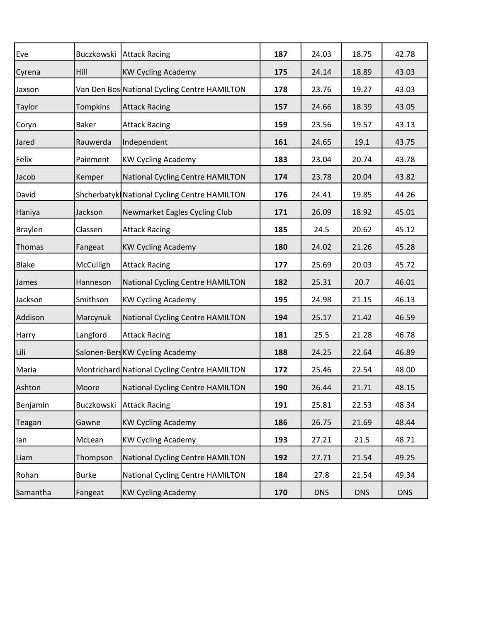| Eve            |              | Buczkowski   Attack Racing                   | 187 | 24.03      | 18.75      | 42.78      |
|----------------|--------------|----------------------------------------------|-----|------------|------------|------------|
| Cyrena         | Hill         | <b>KW Cycling Academy</b>                    | 175 | 24.14      | 18.89      | 43.03      |
| Jaxson         |              | Van Den Bos National Cycling Centre HAMILTON | 178 | 23.76      | 19.27      | 43.03      |
| <b>Taylor</b>  | Tompkins     | <b>Attack Racing</b>                         | 157 | 24.66      | 18.39      | 43.05      |
| Coryn          | <b>Baker</b> | <b>Attack Racing</b>                         | 159 | 23.56      | 19.57      | 43.13      |
| Jared          | Rauwerda     | Independent                                  | 161 | 24.65      | 19.1       | 43.75      |
| Felix          | Paiement     | <b>KW Cycling Academy</b>                    | 183 | 23.04      | 20.74      | 43.78      |
| Jacob          | Kemper       | National Cycling Centre HAMILTON             | 174 | 23.78      | 20.04      | 43.82      |
| David          |              | Shcherbatyk National Cycling Centre HAMILTON | 176 | 24.41      | 19.85      | 44.26      |
| Haniya         | Jackson      | Newmarket Eagles Cycling Club                | 171 | 26.09      | 18.92      | 45.01      |
| <b>Braylen</b> | Classen      | <b>Attack Racing</b>                         | 185 | 24.5       | 20.62      | 45.12      |
| Thomas         | Fangeat      | <b>KW Cycling Academy</b>                    | 180 | 24.02      | 21.26      | 45.28      |
| Blake          | McCulligh    | <b>Attack Racing</b>                         | 177 | 25.69      | 20.03      | 45.72      |
| James          | Hanneson     | National Cycling Centre HAMILTON             | 182 | 25.31      | 20.7       | 46.01      |
| Jackson        | Smithson     | <b>KW Cycling Academy</b>                    | 195 | 24.98      | 21.15      | 46.13      |
| Addison        | Marcynuk     | National Cycling Centre HAMILTON             | 194 | 25.17      | 21.42      | 46.59      |
| Harry          | Langford     | <b>Attack Racing</b>                         | 181 | 25.5       | 21.28      | 46.78      |
| Lili           |              | Salonen-Bers KW Cycling Academy              | 188 | 24.25      | 22.64      | 46.89      |
| Maria          |              | Montrichard National Cycling Centre HAMILTON | 172 | 25.46      | 22.54      | 48.00      |
| Ashton         | Moore        | National Cycling Centre HAMILTON             | 190 | 26.44      | 21.71      | 48.15      |
| Benjamin       | Buczkowski   | <b>Attack Racing</b>                         | 191 | 25.81      | 22.53      | 48.34      |
| Teagan         | Gawne        | <b>KW Cycling Academy</b>                    | 186 | 26.75      | 21.69      | 48.44      |
| lan            | McLean       | <b>KW Cycling Academy</b>                    | 193 | 27.21      | 21.5       | 48.71      |
| Liam           | Thompson     | <b>National Cycling Centre HAMILTON</b>      | 192 | 27.71      | 21.54      | 49.25      |
| Rohan          | <b>Burke</b> | <b>National Cycling Centre HAMILTON</b>      | 184 | 27.8       | 21.54      | 49.34      |
| Samantha       | Fangeat      | <b>KW Cycling Academy</b>                    | 170 | <b>DNS</b> | <b>DNS</b> | <b>DNS</b> |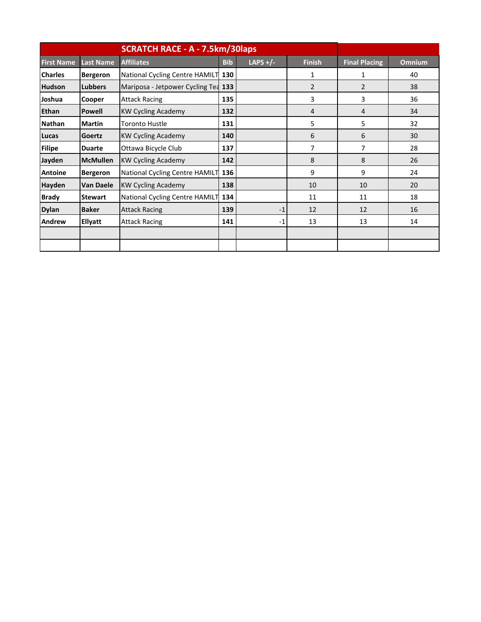|                   |                  | <b>SCRATCH RACE - A - 7.5km/30laps</b> |            |            |               |                      |               |
|-------------------|------------------|----------------------------------------|------------|------------|---------------|----------------------|---------------|
| <b>First Name</b> | <b>Last Name</b> | <b>Affiliates</b>                      | <b>Bib</b> | LAPS $+/-$ | <b>Finish</b> | <b>Final Placing</b> | <b>Omnium</b> |
| <b>Charles</b>    | <b>Bergeron</b>  | National Cycling Centre HAMILT 130     |            |            | 1             | $\mathbf{1}$         | 40            |
| <b>Hudson</b>     | <b>Lubbers</b>   | Mariposa - Jetpower Cycling Tea        | 133        |            | 2             | $\mathcal{P}$        | 38            |
| Joshua            | Cooper           | <b>Attack Racing</b>                   | 135        |            | 3             | 3                    | 36            |
| Ethan             | <b>Powell</b>    | <b>KW Cycling Academy</b>              | 132        |            | 4             | 4                    | 34            |
| <b>Nathan</b>     | <b>Martin</b>    | <b>Toronto Hustle</b>                  | 131        |            | 5             | 5                    | 32            |
| Lucas             | Goertz           | <b>KW Cycling Academy</b>              | 140        |            | 6             | 6                    | 30            |
| <b>Filipe</b>     | <b>Duarte</b>    | Ottawa Bicycle Club                    | 137        |            | 7             | $\overline{7}$       | 28            |
| Jayden            | <b>McMullen</b>  | <b>KW Cycling Academy</b>              | 142        |            | 8             | 8                    | 26            |
| <b>Antoine</b>    | <b>Bergeron</b>  | National Cycling Centre HAMILT 136     |            |            | 9             | 9                    | 24            |
| Hayden            | <b>Van Daele</b> | <b>KW Cycling Academy</b>              | 138        |            | 10            | 10                   | 20            |
| <b>Brady</b>      | <b>Stewart</b>   | National Cycling Centre HAMILT 134     |            |            | 11            | 11                   | 18            |
| <b>Dylan</b>      | <b>Baker</b>     | <b>Attack Racing</b>                   | 139        | $-1$       | 12            | 12                   | 16            |
| Andrew            | Ellyatt          | <b>Attack Racing</b>                   | 141        | $-1$       | 13            | 13                   | 14            |
|                   |                  |                                        |            |            |               |                      |               |
|                   |                  |                                        |            |            |               |                      |               |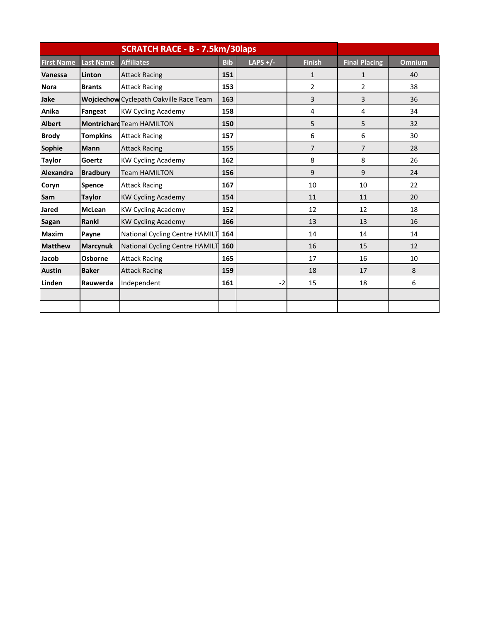|                   |                  | <b>SCRATCH RACE - B - 7.5km/30laps</b>  |            |            |                |                      |               |
|-------------------|------------------|-----------------------------------------|------------|------------|----------------|----------------------|---------------|
| <b>First Name</b> | <b>Last Name</b> | <b>Affiliates</b>                       | <b>Bib</b> | LAPS $+/-$ | <b>Finish</b>  | <b>Final Placing</b> | <b>Omnium</b> |
| Vanessa           | Linton           | <b>Attack Racing</b>                    | 151        |            | 1              | 1                    | 40            |
| <b>Nora</b>       | <b>Brants</b>    | <b>Attack Racing</b>                    | 153        |            | $\overline{2}$ | $\overline{2}$       | 38            |
| Jake              |                  | Wojciechow Cyclepath Oakville Race Team | 163        |            | 3              | 3                    | 36            |
| Anika             | Fangeat          | <b>KW Cycling Academy</b>               | 158        |            | 4              | 4                    | 34            |
| <b>Albert</b>     |                  | <b>Montrichard Team HAMILTON</b>        | 150        |            | 5              | 5                    | 32            |
| <b>Brody</b>      | <b>Tompkins</b>  | <b>Attack Racing</b>                    | 157        |            | 6              | 6                    | 30            |
| Sophie            | <b>Mann</b>      | <b>Attack Racing</b>                    | 155        |            | $\overline{7}$ | $\overline{7}$       | 28            |
| <b>Taylor</b>     | Goertz           | <b>KW Cycling Academy</b>               | 162        |            | 8              | 8                    | 26            |
| Alexandra         | <b>Bradbury</b>  | <b>Team HAMILTON</b>                    | 156        |            | 9              | 9                    | 24            |
| Coryn             | <b>Spence</b>    | <b>Attack Racing</b>                    | 167        |            | 10             | 10                   | 22            |
| Sam               | <b>Taylor</b>    | <b>KW Cycling Academy</b>               | 154        |            | 11             | 11                   | 20            |
| <b>Jared</b>      | <b>McLean</b>    | <b>KW Cycling Academy</b>               | 152        |            | 12             | 12                   | 18            |
| <b>Sagan</b>      | Rankl            | <b>KW Cycling Academy</b>               | 166        |            | 13             | 13                   | 16            |
| <b>Maxim</b>      | Payne            | National Cycling Centre HAMILT 164      |            |            | 14             | 14                   | 14            |
| <b>Matthew</b>    | <b>Marcynuk</b>  | National Cycling Centre HAMILT          | 160        |            | 16             | 15                   | 12            |
| Jacob             | Osborne          | <b>Attack Racing</b>                    | 165        |            | 17             | 16                   | 10            |
| <b>Austin</b>     | <b>Baker</b>     | <b>Attack Racing</b>                    | 159        |            | 18             | 17                   | 8             |
| Linden            | Rauwerda         | Independent                             | 161        | $-2$       | 15             | 18                   | 6             |
|                   |                  |                                         |            |            |                |                      |               |
|                   |                  |                                         |            |            |                |                      |               |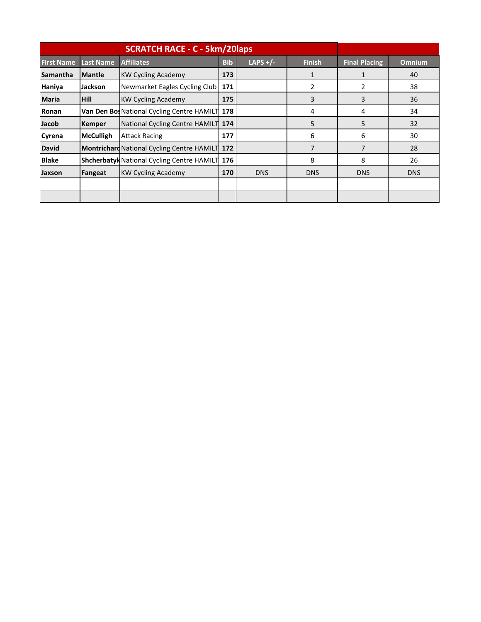|                   |                  | <b>SCRATCH RACE - C - 5km/20laps</b>                  |            |            |               |                      |               |
|-------------------|------------------|-------------------------------------------------------|------------|------------|---------------|----------------------|---------------|
| <b>First Name</b> | <b>Last Name</b> | <b>Affiliates</b>                                     | <b>Bib</b> | LAPS $+/-$ | <b>Finish</b> | <b>Final Placing</b> | <b>Omnium</b> |
| Samantha          | <b>Mantle</b>    | <b>KW Cycling Academy</b>                             | 173        |            |               |                      | 40            |
| Haniya            | Jackson          | Newmarket Eagles Cycling Club                         | 171        |            | 2             | $\overline{2}$       | 38            |
| <b>Maria</b>      | <b>Hill</b>      | <b>KW Cycling Academy</b>                             | 175        |            | 3             | 3                    | 36            |
| Ronan             |                  | Van Den Bos National Cycling Centre HAMILT 178        |            |            | 4             | 4                    | 34            |
| Jacob             | <b>Kemper</b>    | National Cycling Centre HAMILT 174                    |            |            | 5             | 5                    | 32            |
| Cyrena            | <b>McCulligh</b> | <b>Attack Racing</b>                                  | 177        |            | 6             | 6                    | 30            |
| <b>David</b>      |                  | <b>Montrichard National Cycling Centre HAMILT 172</b> |            |            | 7             | 7                    | 28            |
| <b>Blake</b>      |                  | <b>Shcherbatyk National Cycling Centre HAMILT 176</b> |            |            | 8             | 8                    | 26            |
| Jaxson            | Fangeat          | <b>KW Cycling Academy</b>                             | 170        | <b>DNS</b> | <b>DNS</b>    | <b>DNS</b>           | <b>DNS</b>    |
|                   |                  |                                                       |            |            |               |                      |               |
|                   |                  |                                                       |            |            |               |                      |               |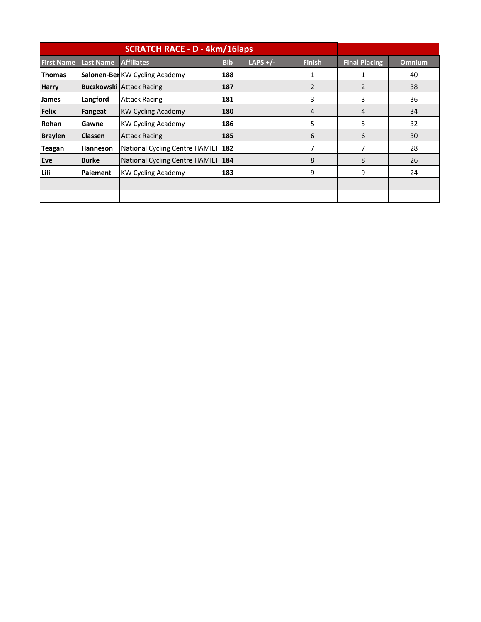|                   |                  | <b>SCRATCH RACE - D - 4km/16laps</b> |            |            |                |                      |               |
|-------------------|------------------|--------------------------------------|------------|------------|----------------|----------------------|---------------|
| <b>First Name</b> | <b>Last Name</b> | <b>Affiliates</b>                    | <b>Bib</b> | LAPS $+/-$ | <b>Finish</b>  | <b>Final Placing</b> | <b>Omnium</b> |
| <b>Thomas</b>     |                  | Salonen-BerKW Cycling Academy        | 188        |            |                | 1                    | 40            |
| <b>Harry</b>      |                  | <b>Buczkowski Attack Racing</b>      | 187        |            | $\overline{2}$ | $\overline{2}$       | 38            |
| James             | Langford         | <b>Attack Racing</b>                 | 181        |            | 3              | 3                    | 36            |
| <b>Felix</b>      | Fangeat          | <b>KW Cycling Academy</b>            | 180        |            | 4              | 4                    | 34            |
| Rohan             | Gawne            | <b>KW Cycling Academy</b>            | 186        |            | 5              | 5                    | 32            |
| <b>Braylen</b>    | <b>Classen</b>   | <b>Attack Racing</b>                 | 185        |            | 6              | 6                    | 30            |
| <b>Teagan</b>     | Hanneson         | National Cycling Centre HAMILT 182   |            |            | 7              | 7                    | 28            |
| Eve               | <b>Burke</b>     | National Cycling Centre HAMILT 184   |            |            | 8              | 8                    | 26            |
| Lili              | Paiement         | <b>KW Cycling Academy</b>            | 183        |            | 9              | 9                    | 24            |
|                   |                  |                                      |            |            |                |                      |               |
|                   |                  |                                      |            |            |                |                      |               |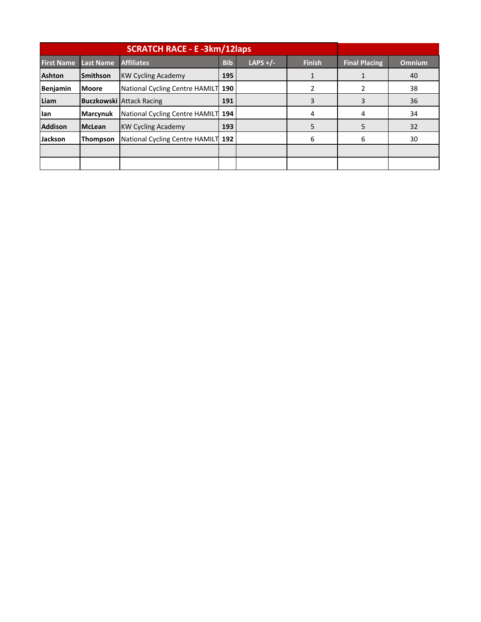|                   |                  | <b>SCRATCH RACE - E -3km/12laps</b> |            |            |               |                      |               |
|-------------------|------------------|-------------------------------------|------------|------------|---------------|----------------------|---------------|
| <b>First Name</b> | <b>Last Name</b> | <b>Affiliates</b>                   | <b>Bib</b> | LAPS $+/-$ | <b>Finish</b> | <b>Final Placing</b> | <b>Omnium</b> |
| <b>Ashton</b>     | <b>Smithson</b>  | <b>KW Cycling Academy</b>           | 195        |            |               |                      | 40            |
| <b>Benjamin</b>   | <b>Moore</b>     | National Cycling Centre HAMILT 190  |            |            |               |                      | 38            |
| Liam              |                  | <b>Buczkowski Attack Racing</b>     | 191        |            | ੨             |                      | 36            |
| lan               | <b>Marcynuk</b>  | National Cycling Centre HAMILT 194  |            |            | 4             | 4                    | 34            |
| <b>Addison</b>    | <b>McLean</b>    | <b>KW Cycling Academy</b>           | 193        |            |               | 5                    | 32            |
| <b>Jackson</b>    | Thompson         | National Cycling Centre HAMILT 192  |            |            | 6             | 6                    | 30            |
|                   |                  |                                     |            |            |               |                      |               |
|                   |                  |                                     |            |            |               |                      |               |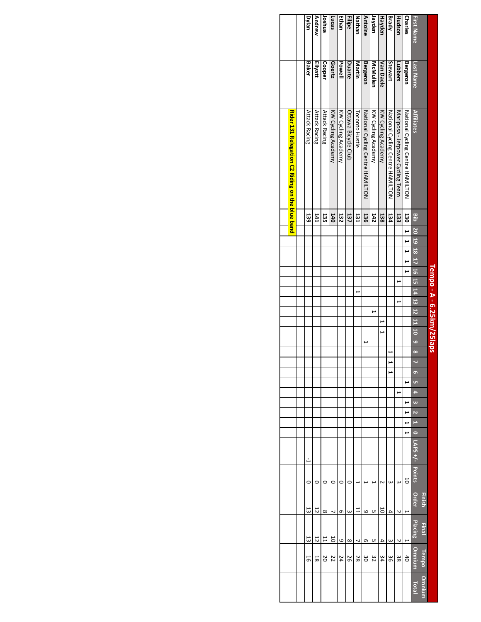|            |                 |                                                 |            |                                  |  |   | Tempo - A - 6.25km/25laps |   |  |  |   |                          |                         |           |    |   |          |   |   |                          |            |               |        |           |                |              |              |
|------------|-----------------|-------------------------------------------------|------------|----------------------------------|--|---|---------------------------|---|--|--|---|--------------------------|-------------------------|-----------|----|---|----------|---|---|--------------------------|------------|---------------|--------|-----------|----------------|--------------|--------------|
|            |                 |                                                 |            |                                  |  |   |                           |   |  |  |   |                          |                         |           |    |   |          |   |   |                          |            |               | Finish |           | <b>Final</b>   | <b>Fempo</b> | Omnium       |
| First Name | Last Name       | <b>Affiliates</b>                               | aia        | 10 19 18 17 16 15 14 12 12 11 10 |  |   |                           |   |  |  |   | $\overline{\phantom{0}}$ | $\overline{\mathbf{8}}$ | $\bullet$ | G1 | ۰ | $\omega$ | N | è | $\overline{\phantom{0}}$ | $-7 + SdV$ | <b>Points</b> | Order  |           | <b>Placing</b> | Omnium       | <b>Total</b> |
| Charles    | <b>Bergeron</b> | National Cycling Centre HAMILTON                | 130        | $\overline{1}$                   |  | ⊶ |                           |   |  |  |   |                          |                         |           | ⊢  |   |          |   |   | ⊢                        |            | 5             |        |           |                | $rac{4}{5}$  |              |
| Hudson     | Lubbers         | Mariposa - Jetpower Cycling Team                | 133        |                                  |  |   | E                         |   |  |  |   |                          |                         |           |    | ۳ |          |   |   |                          |            | ω             |        | N         | Z              | 38           |              |
| Brady      | Stewart         | National Cycling Centre HAMILTON                | 134        |                                  |  |   |                           |   |  |  |   |                          | ۳                       | ⊢         |    |   |          |   |   |                          |            | ω             |        | 4         | $\omega$       | 98           |              |
| Hayden     | Van Daele       | KW Cycling Academy                              | 138        |                                  |  |   |                           |   |  |  | ⊢ |                          |                         |           |    |   |          |   |   |                          |            |               |        | 50        | 4              | 34           |              |
| Jayden     | McMullen        | KW Cycling Academy                              | 142        |                                  |  |   |                           |   |  |  |   |                          |                         |           |    |   |          |   |   |                          |            |               |        | <b>υπ</b> | UП             | 32           |              |
| Antoine    | <b>Bergeron</b> | National Cycling Centre HAMILTON                | 136        |                                  |  |   |                           |   |  |  |   | ٣                        |                         |           |    |   |          |   |   |                          |            |               |        | 6         | თ              | မိ           |              |
| Nathan     | Martin          | <b>Toronto Hustle</b>                           | 131        |                                  |  |   |                           | ۳ |  |  |   |                          |                         |           |    |   |          |   |   |                          |            |               |        |           | J              | 28           |              |
| Filipe     | Duarte          | Ottawa Bicycle Club                             | 137        |                                  |  |   |                           |   |  |  |   |                          |                         |           |    |   |          |   |   |                          |            | 0             |        | ω         | $\infty$       | 56           |              |
| Ethan      | Powell          | KW Cycling Academy                              | 132        |                                  |  |   |                           |   |  |  |   |                          |                         |           |    |   |          |   |   |                          |            | 0             |        | თ         | 6              | 24           |              |
| Lucas      | Goertz          | <b>KW Cycling Academy</b>                       | 140        |                                  |  |   |                           |   |  |  |   |                          |                         |           |    |   |          |   |   |                          |            | 0             |        |           | 50             | 22           |              |
| loshua     | Cooper          | Attack Racing                                   | 135        |                                  |  |   |                           |   |  |  |   |                          |                         |           |    |   |          |   |   |                          |            | o             |        | $\infty$  | 11             | 20           |              |
| Andrew     | Ellyatt         | Attack Racing                                   | <b>I41</b> |                                  |  |   |                           |   |  |  |   |                          |                         |           |    |   |          |   |   |                          |            |               |        | 5         | 12             | 55           |              |
| Dylan      | Baker           | Attack Racing                                   | 139        |                                  |  |   |                           |   |  |  |   |                          |                         |           |    |   |          |   |   |                          | دٰر        | 0             | 13     |           | 53             | 5            |              |
|            |                 |                                                 |            |                                  |  |   |                           |   |  |  |   |                          |                         |           |    |   |          |   |   |                          |            |               |        |           |                |              |              |
|            |                 | Rider 131 Relegation C2 Riding on the blue band |            |                                  |  |   |                           |   |  |  |   |                          |                         |           |    |   |          |   |   |                          |            |               |        |           |                |              |              |
|            |                 |                                                 |            |                                  |  |   |                           |   |  |  |   |                          |                         |           |    |   |          |   |   |                          |            |               |        |           |                |              |              |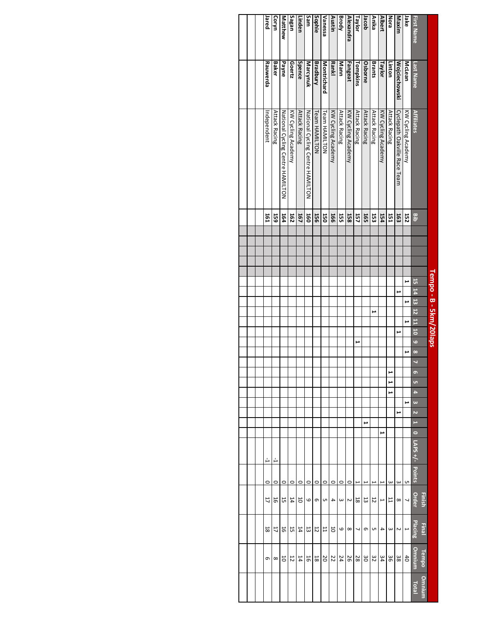|                   |                      |                                  |            |  | Tempo - B - 5km/20laps |                   |   |   |   |   |                |          |   |     |   |          |   |    |                          |                |          |                |                          |          |        |
|-------------------|----------------------|----------------------------------|------------|--|------------------------|-------------------|---|---|---|---|----------------|----------|---|-----|---|----------|---|----|--------------------------|----------------|----------|----------------|--------------------------|----------|--------|
|                   |                      |                                  |            |  |                        |                   |   |   |   |   |                |          |   |     |   |          |   |    |                          |                |          | Finish         | <b>Final</b>             | Tempo    | Omnium |
| <b>First Name</b> | Last Name            | <b>Affiliates</b>                | 쁭          |  |                        | 15 14 13 12 11 10 |   |   |   |   | $\overline{6}$ | $\infty$ | ō | UТ. | ÷ | $\omega$ | N | H  | $\overline{\phantom{0}}$ | LAPS+/- Points |          | Order          | Placing                  | Omnium   | Total  |
| Jake              | McLean               | KW Cycling Academy               | 152        |  | E                      |                   | ⊢ |   | ٣ |   |                | ۳        |   |     |   | ⊢        |   |    |                          |                | UП       | $\overline{ }$ | $\overline{ }$           | 40       |        |
| Maxim             | <b>Wojciechowski</b> | Cyclepath Oakville Race Team     | 163        |  |                        | ىر                |   |   |   | ⊶ |                |          |   |     |   |          | ⊢ |    |                          |                | $\omega$ | $\infty$       | $\sim$                   | 38       |        |
| Nora              | Linton               | Attack Racing                    | 151        |  |                        |                   |   |   |   |   |                |          | ⊢ | ۳   | ۳ |          |   |    |                          |                | $\omega$ | $\overline{L}$ | $\omega$                 | δg       |        |
| <b>Albert</b>     | Taylor               | KW Cycling Academy               | 154        |  |                        |                   |   |   |   |   |                |          |   |     |   |          |   |    | ⊢                        |                | ۴        | ⊢              | 4                        | 34       |        |
| Anika             | <b>Brants</b>        | Attack Racing                    | 53         |  |                        |                   |   | ٣ |   |   |                |          |   |     |   |          |   |    |                          |                | ۲        | 12             | G                        | 32       |        |
| Jacob             | Osborne              | Attack Racing                    | 165        |  |                        |                   |   |   |   |   |                |          |   |     |   |          |   | ىر |                          |                |          | 13             | G                        | 30       |        |
| Taylor            | Tompkins             | <b>Attack Racing</b>             | 157        |  |                        |                   |   |   |   |   | ⊢              |          |   |     |   |          |   |    |                          |                | ۳        | $\overline{8}$ | $\overline{\phantom{0}}$ | 28       |        |
| Alexandra         | Fangeat              | KW Cycling Academy               | 158        |  |                        |                   |   |   |   |   |                |          |   |     |   |          |   |    |                          |                | $\circ$  | Z              | $\infty$                 | 26       |        |
| Brody             | Mann                 | Attack Racing                    | ដូ         |  |                        |                   |   |   |   |   |                |          |   |     |   |          |   |    |                          |                | $\circ$  | $\omega$       | 6                        | 24       |        |
| Austin            | <b>Rankl</b>         | KW Cycling Academy               | <b>166</b> |  |                        |                   |   |   |   |   |                |          |   |     |   |          |   |    |                          |                | $\circ$  | 4              | 5                        | 22       |        |
| Vanessa           | Montrichard          | Team HAMILTON                    | 50         |  |                        |                   |   |   |   |   |                |          |   |     |   |          |   |    |                          |                | $\circ$  | S              | 出                        | 20       |        |
| Sophie            | <b>Bradbury</b>      | Team HAMILTON                    | 55         |  |                        |                   |   |   |   |   |                |          |   |     |   |          |   |    |                          |                | $\circ$  | G              | $\overline{5}$           | 18       |        |
| Sam               | Marcynuk             | NOTILIANILE Centre HANILTON      | 160        |  |                        |                   |   |   |   |   |                |          |   |     |   |          |   |    |                          |                | $\circ$  | 6              | E)                       | 5        |        |
| Linden            | Spence               | <b>Attack Racing</b>             | 167        |  |                        |                   |   |   |   |   |                |          |   |     |   |          |   |    |                          |                | $\circ$  | $\overline{0}$ | 14                       | 14       |        |
| Sagan             | Goertz               | KW Cycling Academy               | 162        |  |                        |                   |   |   |   |   |                |          |   |     |   |          |   |    |                          |                | $\circ$  | 14             | 5                        | 12       |        |
| Matthew           | Payne                | National Cycling Centre HAMILTON | 164        |  |                        |                   |   |   |   |   |                |          |   |     |   |          |   |    |                          |                | $\circ$  | 55             | 5                        | 5        |        |
| Coryn             | Baker                | Attack Racing                    | 59         |  |                        |                   |   |   |   |   |                |          |   |     |   |          |   |    |                          | А              | $\circ$  | 91             | 17                       | $\infty$ |        |
| Jared             | Rauwerda             | Independent                      | 161        |  |                        |                   |   |   |   |   |                |          |   |     |   |          |   |    |                          | А              | 0        | 11             | 58                       | G        |        |
|                   |                      |                                  |            |  |                        |                   |   |   |   |   |                |          |   |     |   |          |   |    |                          |                |          |                |                          |          |        |
|                   |                      |                                  |            |  |                        |                   |   |   |   |   |                |          |   |     |   |          |   |    |                          |                |          |                |                          |          |        |
|                   |                      |                                  |            |  |                        |                   |   |   |   |   |                |          |   |     |   |          |   |    |                          |                |          |                |                          |          |        |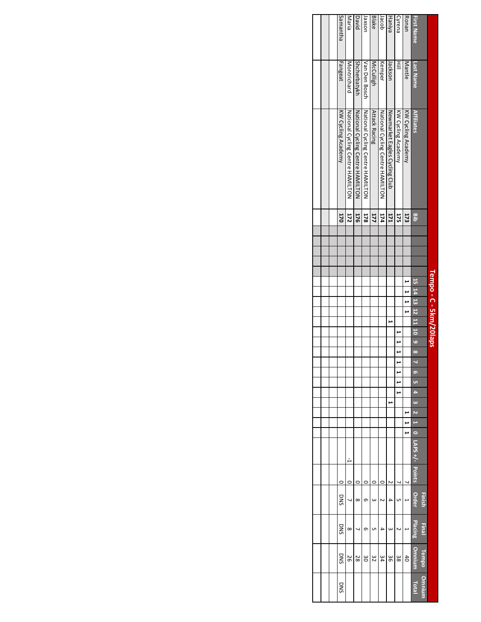|                   |               |                                  |            |  |  |   | Tempo - C - 5km/20laps |   |   |   |               |   |   |    |   |          |   |   |                                 |         |                        |                                |                        |                 |
|-------------------|---------------|----------------------------------|------------|--|--|---|------------------------|---|---|---|---------------|---|---|----|---|----------|---|---|---------------------------------|---------|------------------------|--------------------------------|------------------------|-----------------|
| <b>First Name</b> | Last Name     | <b>Affiliates</b>                | <b>Bib</b> |  |  |   | 15 14 13 12 11 10 9 8  |   |   |   |               | N | o | v. | 4 | $\omega$ | N |   | $1$ 0 $\lfloor$ LAPS +/- Points |         | Order<br><b>Finish</b> | <b>Placing</b><br><b>Final</b> | <b>Omnium</b><br>Tempo | Omnium<br>Total |
| Ronan             | Mantle        | <b>KW Cycling Academy</b>        | 173        |  |  | ⊢ |                        | ٣ |   |   |               |   |   |    |   |          |   | ⊢ |                                 |         |                        |                                | $rac{4}{5}$            |                 |
| Cyrena            | ≣             | KW Cycling Academy               | 175        |  |  |   |                        |   |   | ٣ | $\frac{1}{2}$ |   | ٣ |    | H |          |   |   |                                 | 1       | UП                     | N                              | 38                     |                 |
| Haniya            | nackson       | Newmarket Eagles Cycling Club    | 171        |  |  |   |                        |   | ⊢ |   |               |   |   |    |   | ⊢        |   |   |                                 | N       | 4                      | ω                              | 98                     |                 |
| lacob             | Kemper        | National Cycling Centre HAMILTON | 174        |  |  |   |                        |   |   |   |               |   |   |    |   |          |   |   |                                 | $\circ$ | N                      | 4                              | 34                     |                 |
| Blake             | McCulligh     | Attack Racing                    | 177        |  |  |   |                        |   |   |   |               |   |   |    |   |          |   |   |                                 | c       | ω                      | UП                             | 32                     |                 |
| uosxe             | Van Den Bosch | National Cycling Centre HAMILTON | 378        |  |  |   |                        |   |   |   |               |   |   |    |   |          |   |   |                                 | C       | თ                      | თ                              | δg                     |                 |
| David             | Shcherbatykh  | National Cycling Centre HAMILTON | 176        |  |  |   |                        |   |   |   |               |   |   |    |   |          |   |   |                                 | 0       | $\infty$               | J                              | 28                     |                 |
| Maria             | Montrichard   | National Cycling Centre HAMILTON | 172        |  |  |   |                        |   |   |   |               |   |   |    |   |          |   |   | Ь                               |         | J                      | $\infty$                       | 56                     |                 |
| Samantha          | Fangeat       | KW Cycling Academy               | 170        |  |  |   |                        |   |   |   |               |   |   |    |   |          |   |   |                                 | 0       | DNS                    | <b>DINS</b>                    | DNS                    | DNS             |
|                   |               |                                  |            |  |  |   |                        |   |   |   |               |   |   |    |   |          |   |   |                                 |         |                        |                                |                        |                 |
|                   |               |                                  |            |  |  |   |                        |   |   |   |               |   |   |    |   |          |   |   |                                 |         |                        |                                |                        |                 |
|                   |               |                                  |            |  |  |   |                        |   |   |   |               |   |   |    |   |          |   |   |                                 |         |                        |                                |                        |                 |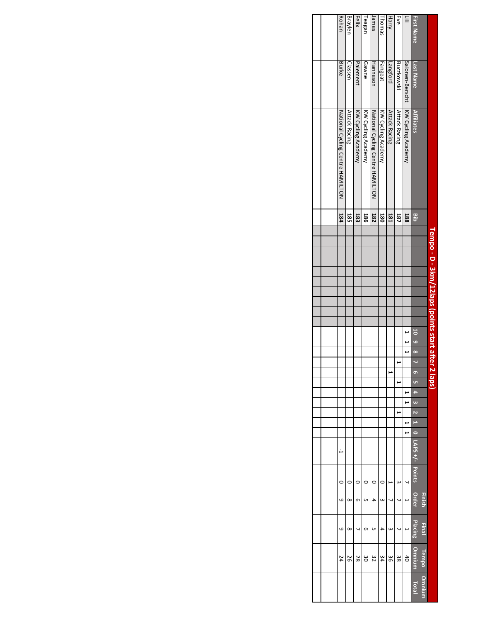|                   |                   |                                  |     |  | Tempo - D - 3km/12laps (points start after 2 laps |  |  |  |              |   |        |   |         |          |    |   |                                |         |              |              |              |              |
|-------------------|-------------------|----------------------------------|-----|--|---------------------------------------------------|--|--|--|--------------|---|--------|---|---------|----------|----|---|--------------------------------|---------|--------------|--------------|--------------|--------------|
|                   |                   |                                  |     |  |                                                   |  |  |  |              |   |        |   |         |          |    |   |                                |         | Finish       | <b>Final</b> | <b>Tempo</b> | Omniurr      |
| <b>First Name</b> | Last Name         | <b>Affiliates</b>                | gib |  |                                                   |  |  |  | $8 \t6 \t10$ |   | 6      |   | U)<br>A | $\omega$ |    |   | $2 \t1 \t0 \t$ LAPS +/- Points |         | <b>Order</b> | Placing      | Omnium       | <b>Total</b> |
| ≣                 | Salonen-Berscht   | KW Cycling Academy               | 188 |  |                                                   |  |  |  | ٣            | ٣ |        |   | ىر      | ⊢        |    | ⊶ |                                |         |              | ⊢            | $rac{4}{5}$  |              |
| Eve               | <b>Buczkowski</b> | <b>Attack Racing</b>             | 187 |  |                                                   |  |  |  |              |   |        | ⊶ |         |          | ىر |   |                                | ω       | N            | Z            | 38           |              |
| Harry             | Langford          | <b>Attack Racing</b>             | 181 |  |                                                   |  |  |  |              |   | د<br>ŀ |   |         |          |    |   |                                | ŀ       | J            | ω            | 98           |              |
| homas             | Fangeat           | KW Cycling Academy               | 180 |  |                                                   |  |  |  |              |   |        |   |         |          |    |   |                                | $\circ$ | ω            | 4            | 34           |              |
| lames             | Hanneson          | National Cycling Centre HAMILTON | 182 |  |                                                   |  |  |  |              |   |        |   |         |          |    |   |                                | 0       | 4            | UП           | 32           |              |
| leagan            | Gawne             | KW Cycling Academy               | 38  |  |                                                   |  |  |  |              |   |        |   |         |          |    |   |                                | 0       | C            | თ            | ပ္ပ          |              |
| Felix             | Paiement          | KW Cycling Academy               | 183 |  |                                                   |  |  |  |              |   |        |   |         |          |    |   |                                | 0       | თ            | 1            | 28           |              |
| Braylen           | Classen           | <b>Attack Racing</b>             | 582 |  |                                                   |  |  |  |              |   |        |   |         |          |    |   |                                | 0       | $\infty$     | $\infty$     | 92           |              |
| Rohan             | Burke             | National Cycling Centre HAMILTON | 184 |  |                                                   |  |  |  |              |   |        |   |         |          |    |   | Ľ                              | O       | 6            | 6            | 24           |              |
|                   |                   |                                  |     |  |                                                   |  |  |  |              |   |        |   |         |          |    |   |                                |         |              |              |              |              |
|                   |                   |                                  |     |  |                                                   |  |  |  |              |   |        |   |         |          |    |   |                                |         |              |              |              |              |
|                   |                   |                                  |     |  |                                                   |  |  |  |              |   |        |   |         |          |    |   |                                |         |              |              |              |              |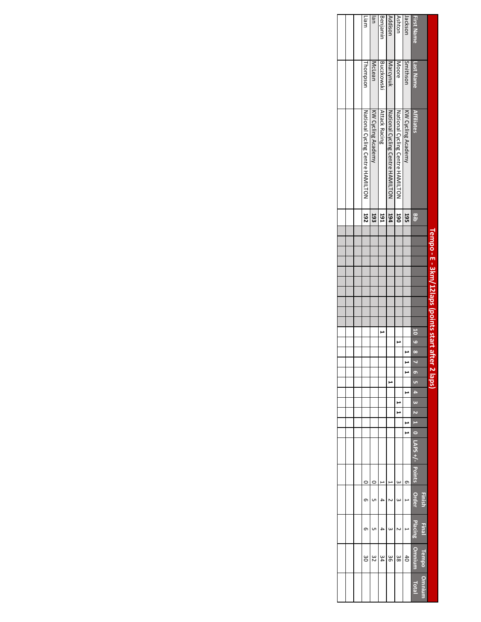|                   |                   |                                  |            | Tempo - E - 3km/12laps (points start after 2 laps |  |  |  |         |   |   |    |  |  |                        |   |        |              |                |               |
|-------------------|-------------------|----------------------------------|------------|---------------------------------------------------|--|--|--|---------|---|---|----|--|--|------------------------|---|--------|--------------|----------------|---------------|
|                   |                   |                                  |            |                                                   |  |  |  |         |   |   |    |  |  |                        |   | Finish | <b>Final</b> | Tempo          | <b>Umnium</b> |
| <b>First Name</b> | Last Name         | <b>Affiliates</b>                | 믈          |                                                   |  |  |  | 8 6 0 1 | N | ø | u. |  |  | $2 \t10 \tCSP-$ Points |   | Order  | Placing      | <b>Omniu</b>   | Total         |
| Jackson           | Smithson          | KW Cycling Academy               | 195        |                                                   |  |  |  |         |   |   |    |  |  |                        | თ |        |              | $\overline{d}$ |               |
| Ashton            | Moore             | National Cycling Centre HAMILTON | <b>O6T</b> |                                                   |  |  |  |         |   |   |    |  |  |                        | ω | ω      |              | 38             |               |
| Addison           | Marcynuk          | National Cycling Centre HAMILTON | 194        |                                                   |  |  |  |         |   |   | F  |  |  |                        |   |        | ω            | 98             |               |
| Benjamın          | <b>Buczkowski</b> | Attack Racing                    | 161        |                                                   |  |  |  |         |   |   |    |  |  |                        |   | ₽      |              | 34             |               |
| uel               | McLean            | KW Cycling Academy               | 193        |                                                   |  |  |  |         |   |   |    |  |  |                        |   | UП     | UП           | 32             |               |
| Liam              | Thompson          | NONILLYVIID & Centre HAMILTON    | 192        |                                                   |  |  |  |         |   |   |    |  |  |                        |   | თ      | თ            | မ္မ            |               |
|                   |                   |                                  |            |                                                   |  |  |  |         |   |   |    |  |  |                        |   |        |              |                |               |
|                   |                   |                                  |            |                                                   |  |  |  |         |   |   |    |  |  |                        |   |        |              |                |               |
|                   |                   |                                  |            |                                                   |  |  |  |         |   |   |    |  |  |                        |   |        |              |                |               |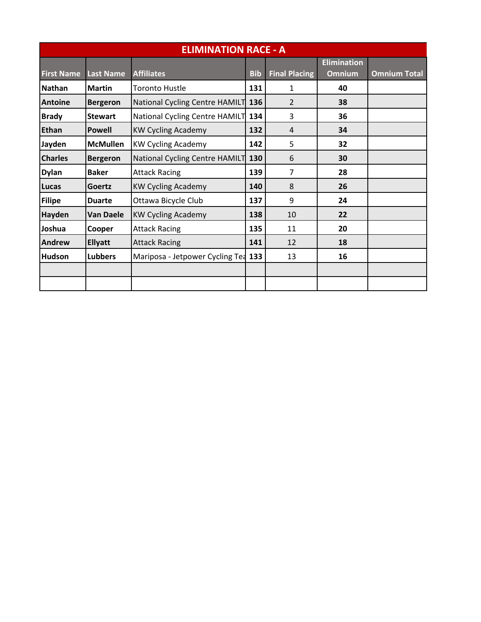|                   |                  | <b>ELIMINATION RACE - A</b>     |            |                      |                                     |                     |
|-------------------|------------------|---------------------------------|------------|----------------------|-------------------------------------|---------------------|
| <b>First Name</b> | <b>Last Name</b> | <b>Affiliates</b>               | <b>Bib</b> | <b>Final Placing</b> | <b>Elimination</b><br><b>Omnium</b> | <b>Omnium Total</b> |
| <b>Nathan</b>     | <b>Martin</b>    | <b>Toronto Hustle</b>           | 131        | 1                    | 40                                  |                     |
| <b>Antoine</b>    | <b>Bergeron</b>  | National Cycling Centre HAMILT  | 136        | $\overline{2}$       | 38                                  |                     |
| <b>Brady</b>      | <b>Stewart</b>   | National Cycling Centre HAMILT  | 134        | 3                    | 36                                  |                     |
| <b>Ethan</b>      | <b>Powell</b>    | <b>KW Cycling Academy</b>       | 132        | 4                    | 34                                  |                     |
| Jayden            | <b>McMullen</b>  | <b>KW Cycling Academy</b>       | 142        | 5                    | 32                                  |                     |
| <b>Charles</b>    | <b>Bergeron</b>  | National Cycling Centre HAMILT  | 130        | 6                    | 30                                  |                     |
| <b>Dylan</b>      | <b>Baker</b>     | <b>Attack Racing</b>            | 139        | 7                    | 28                                  |                     |
| Lucas             | <b>Goertz</b>    | <b>KW Cycling Academy</b>       | 140        | 8                    | 26                                  |                     |
| <b>Filipe</b>     | <b>Duarte</b>    | Ottawa Bicycle Club             | 137        | 9                    | 24                                  |                     |
| <b>Hayden</b>     | <b>Van Daele</b> | <b>KW Cycling Academy</b>       | 138        | 10                   | 22                                  |                     |
| Joshua            | Cooper           | <b>Attack Racing</b>            | 135        | 11                   | 20                                  |                     |
| <b>Andrew</b>     | <b>Ellyatt</b>   | <b>Attack Racing</b>            | 141        | 12                   | 18                                  |                     |
| <b>Hudson</b>     | <b>Lubbers</b>   | Mariposa - Jetpower Cycling Tea | 133        | 13                   | 16                                  |                     |
|                   |                  |                                 |            |                      |                                     |                     |
|                   |                  |                                 |            |                      |                                     |                     |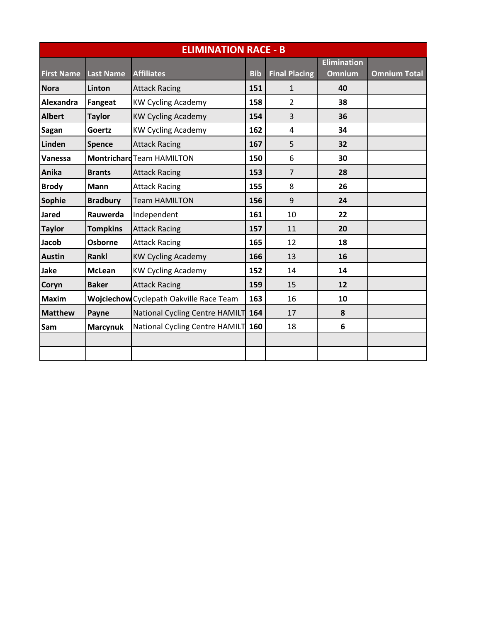|                   |                  | <b>ELIMINATION RACE - B</b>             |            |                      |                    |                     |
|-------------------|------------------|-----------------------------------------|------------|----------------------|--------------------|---------------------|
|                   |                  |                                         |            |                      | <b>Elimination</b> |                     |
| <b>First Name</b> | <b>Last Name</b> | <b>Affiliates</b>                       | <b>Bib</b> | <b>Final Placing</b> | <b>Omnium</b>      | <b>Omnium Total</b> |
| <b>Nora</b>       | Linton           | <b>Attack Racing</b>                    | 151        | 1                    | 40                 |                     |
| Alexandra         | Fangeat          | <b>KW Cycling Academy</b>               | 158        | $\overline{2}$       | 38                 |                     |
| <b>Albert</b>     | <b>Taylor</b>    | <b>KW Cycling Academy</b>               | 154        | 3                    | 36                 |                     |
| <b>Sagan</b>      | Goertz           | <b>KW Cycling Academy</b>               | 162        | 4                    | 34                 |                     |
| Linden            | <b>Spence</b>    | <b>Attack Racing</b>                    | 167        | 5                    | 32                 |                     |
| Vanessa           |                  | <b>Montrichard Team HAMILTON</b>        | 150        | 6                    | 30                 |                     |
| Anika             | <b>Brants</b>    | <b>Attack Racing</b>                    | 153        | $\overline{7}$       | 28                 |                     |
| <b>Brody</b>      | Mann             | <b>Attack Racing</b>                    | 155        | 8                    | 26                 |                     |
| Sophie            | <b>Bradbury</b>  | <b>Team HAMILTON</b>                    | 156        | 9                    | 24                 |                     |
| <b>Jared</b>      | Rauwerda         | Independent                             | 161        | 10                   | 22                 |                     |
| <b>Taylor</b>     | <b>Tompkins</b>  | <b>Attack Racing</b>                    | 157        | 11                   | 20                 |                     |
| Jacob             | Osborne          | <b>Attack Racing</b>                    | 165        | 12                   | 18                 |                     |
| <b>Austin</b>     | Rankl            | <b>KW Cycling Academy</b>               | 166        | 13                   | 16                 |                     |
| <b>Jake</b>       | <b>McLean</b>    | <b>KW Cycling Academy</b>               | 152        | 14                   | 14                 |                     |
| <b>Coryn</b>      | <b>Baker</b>     | <b>Attack Racing</b>                    | 159        | 15                   | 12                 |                     |
| <b>Maxim</b>      |                  | Wojciechow Cyclepath Oakville Race Team | 163        | 16                   | 10                 |                     |
| <b>Matthew</b>    | Payne            | National Cycling Centre HAMILT          | 164        | 17                   | 8                  |                     |
| Sam               | <b>Marcynuk</b>  | National Cycling Centre HAMILT          | 160        | 18                   | 6                  |                     |
|                   |                  |                                         |            |                      |                    |                     |
|                   |                  |                                         |            |                      |                    |                     |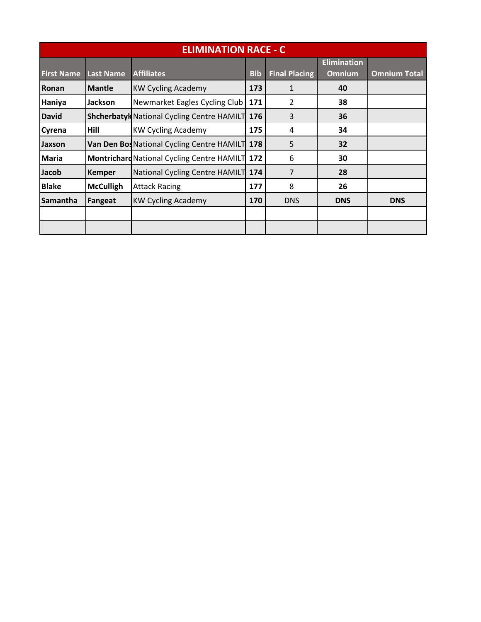|                   |                  | <b>ELIMINATION RACE - C</b>                       |            |                      |                                     |                     |
|-------------------|------------------|---------------------------------------------------|------------|----------------------|-------------------------------------|---------------------|
| <b>First Name</b> | <b>Last Name</b> | <b>Affiliates</b>                                 | <b>Bib</b> | <b>Final Placing</b> | <b>Elimination</b><br><b>Omnium</b> | <b>Omnium Total</b> |
| Ronan             | <b>Mantle</b>    | <b>KW Cycling Academy</b>                         | 173        | $\mathbf{1}$         | 40                                  |                     |
| Haniya            | Jackson          | Newmarket Eagles Cycling Club                     | 171        | 2                    | 38                                  |                     |
| <b>David</b>      |                  | <b>Shcherbatyk National Cycling Centre HAMILT</b> | 176        | 3                    | 36                                  |                     |
| <b>Cyrena</b>     | Hill             | <b>KW Cycling Academy</b>                         | 175        | 4                    | 34                                  |                     |
| <b>Jaxson</b>     |                  | Van Den Bos National Cycling Centre HAMILT        | 178        | 5                    | 32                                  |                     |
| <b>Maria</b>      |                  | <b>Montrichard National Cycling Centre HAMILT</b> | 172        | 6                    | 30                                  |                     |
| Jacob             | <b>Kemper</b>    | National Cycling Centre HAMILT                    | 174        | 7                    | 28                                  |                     |
| <b>Blake</b>      | <b>McCulligh</b> | <b>Attack Racing</b>                              | 177        | 8                    | 26                                  |                     |
| Samantha          | Fangeat          | <b>KW Cycling Academy</b>                         | 170        | <b>DNS</b>           | <b>DNS</b>                          | <b>DNS</b>          |
|                   |                  |                                                   |            |                      |                                     |                     |
|                   |                  |                                                   |            |                      |                                     |                     |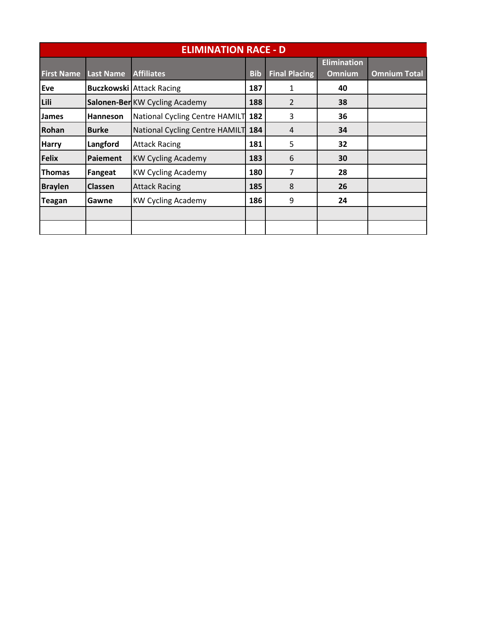|                   |                  | <b>ELIMINATION RACE - D</b>     |            |                      |                                     |                     |
|-------------------|------------------|---------------------------------|------------|----------------------|-------------------------------------|---------------------|
| <b>First Name</b> | <b>Last Name</b> | <b>Affiliates</b>               | <b>Bib</b> | <b>Final Placing</b> | <b>Elimination</b><br><b>Omnium</b> | <b>Omnium Total</b> |
| Eve               |                  | <b>Buczkowski Attack Racing</b> | 187        | 1                    | 40                                  |                     |
| Lili              |                  | Salonen-Ber KW Cycling Academy  | 188        | 2                    | 38                                  |                     |
| <b>James</b>      | Hanneson         | National Cycling Centre HAMILT  | 182        | 3                    | 36                                  |                     |
| Rohan             | <b>Burke</b>     | National Cycling Centre HAMILT  | 184        | 4                    | 34                                  |                     |
| <b>Harry</b>      | Langford         | <b>Attack Racing</b>            | 181        | 5                    | 32                                  |                     |
| <b>Felix</b>      | Paiement         | <b>KW Cycling Academy</b>       | 183        | 6                    | 30                                  |                     |
| <b>Thomas</b>     | Fangeat          | <b>KW Cycling Academy</b>       | 180        | 7                    | 28                                  |                     |
| <b>Braylen</b>    | <b>Classen</b>   | <b>Attack Racing</b>            | 185        | 8                    | 26                                  |                     |
| <b>Teagan</b>     | Gawne            | <b>KW Cycling Academy</b>       | 186        | 9                    | 24                                  |                     |
|                   |                  |                                 |            |                      |                                     |                     |
|                   |                  |                                 |            |                      |                                     |                     |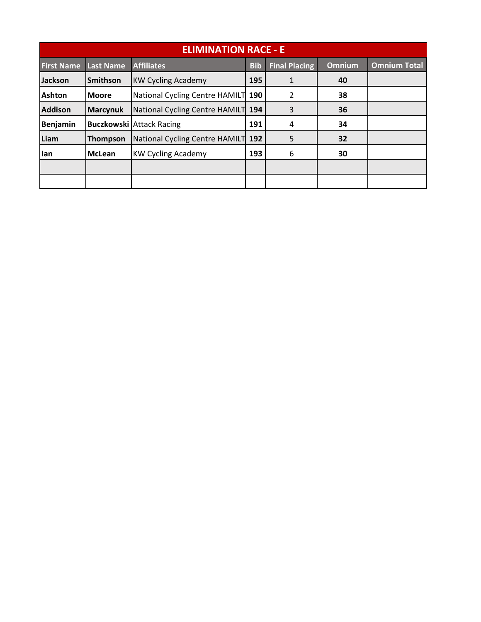|                   |                  | <b>ELIMINATION RACE - E</b>     |            |                      |               |                     |
|-------------------|------------------|---------------------------------|------------|----------------------|---------------|---------------------|
| <b>First Name</b> | <b>Last Name</b> | <b>Affiliates</b>               | <b>Bib</b> | <b>Final Placing</b> | <b>Omnium</b> | <b>Omnium Total</b> |
| <b>Jackson</b>    | <b>Smithson</b>  | <b>KW Cycling Academy</b>       | 195        | $\mathbf{1}$         | 40            |                     |
| <b>Ashton</b>     | <b>Moore</b>     | National Cycling Centre HAMILT  | 190        | $\mathcal{P}$        | 38            |                     |
| <b>Addison</b>    | <b>Marcynuk</b>  | National Cycling Centre HAMILT  | 194        | 3                    | 36            |                     |
| <b>Benjamin</b>   |                  | <b>Buczkowski Attack Racing</b> | 191        | 4                    | 34            |                     |
| Liam              | <b>Thompson</b>  | National Cycling Centre HAMILT  | 192        | 5                    | 32            |                     |
| lan               | <b>McLean</b>    | <b>KW Cycling Academy</b>       | 193        | 6                    | 30            |                     |
|                   |                  |                                 |            |                      |               |                     |
|                   |                  |                                 |            |                      |               |                     |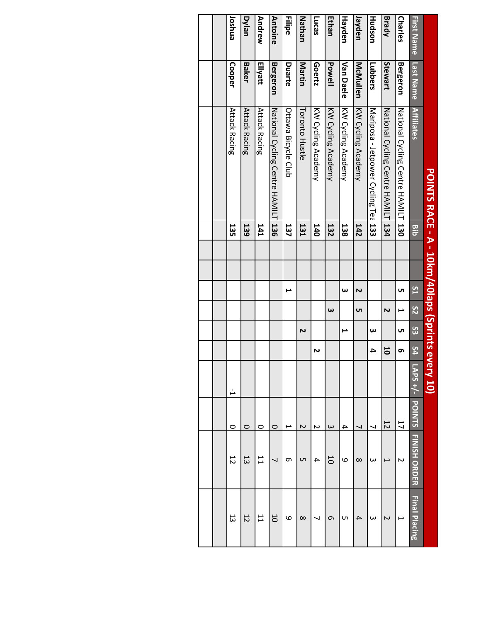|                   |                  | POINTS RACE - A - 10km/40laps (Sprints eve |                  |  |    |                       |    |    |         |               |                          |                |
|-------------------|------------------|--------------------------------------------|------------------|--|----|-----------------------|----|----|---------|---------------|--------------------------|----------------|
| <b>First Name</b> | <b>Last Name</b> | <b>Affiliates</b>                          | Bib              |  | 51 | 52                    | S3 | 54 | APS +/- | <b>POINTS</b> | <b>FINISH ORDER</b>      | Final Placing  |
| <b>Charles</b>    | <b>Bergeron</b>  | National Cycling Centre HAMIL              | 130              |  | uп | ⊢                     | UΠ | თ  |         | 17            | N                        |                |
| <b>Brady</b>      | Stewart          | National Cycling Centre HAMIL              | 134              |  |    | N                     |    | 5  |         | 12            | $\overline{\phantom{0}}$ | Z              |
| Hudson            | Lubbers          | Mariposa - Jetpower Cycling Ted 133        |                  |  |    |                       | ω  | 4  |         |               | ω                        | ω              |
| Jayden            | McMullen         | KW Cycling Academy                         | 142              |  | N  | <b>υ</b> τ            |    |    |         |               | $\infty$                 | 4              |
| Hayden            | <b>Van Daele</b> | KW Cycling Academy                         | 138              |  | ω  |                       | ⊢  |    |         | 4             | 6                        | cл             |
| <b>Ethan</b>      | Powell           | KW Cycling Academy                         | 132              |  |    | $\boldsymbol{\omega}$ |    |    |         | $\omega$      | 5                        | თ              |
| Lucas             | Goertz           | KW Cycling Academy                         | 140              |  |    |                       |    | N  |         | N             | 4                        |                |
| Nathan            | Martin           | Toronto Hustle                             | 131              |  |    |                       | N  |    |         | N             | Cп                       | $\infty$       |
| <b>Filipe</b>     | Duarte           | Ottawa Bicycle Club                        | 137              |  | ⊨  |                       |    |    |         | ⊢             | თ                        | ဖ              |
| <b>Antoine</b>    | <b>Bergeron</b>  | National Cycling Centre HAMILT             | $\frac{136}{13}$ |  |    |                       |    |    |         | O             |                          | 50             |
| Andrew            | Ellyatt          | <b>Attack Racing</b>                       | <b>141</b>       |  |    |                       |    |    |         | 0             | IJ                       | IJ             |
| Dylan             | <b>Baker</b>     | <b>Attack Racing</b>                       | 139              |  |    |                       |    |    |         | $\circ$       | 53                       | $\overline{c}$ |
| Joshua            | Cooper           | <b>Attack Racing</b>                       | 135              |  |    |                       |    |    | Ļ       | $\circ$       | 12                       | 53             |
|                   |                  |                                            |                  |  |    |                       |    |    |         |               |                          |                |
|                   |                  |                                            |                  |  |    |                       |    |    |         |               |                          |                |
|                   |                  |                                            |                  |  |    |                       |    |    |         |               |                          |                |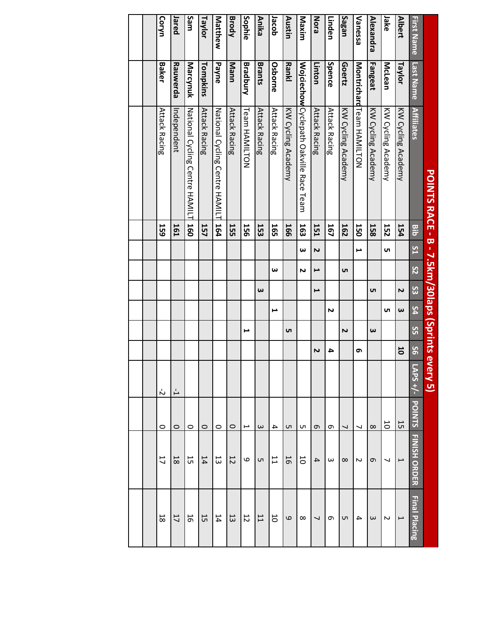|                   |                 | POINTS RACE - B - 7.5km/30laps (Sprints every 5) |            |    |          |                       |                       |    |              |         |                          |                     |                          |
|-------------------|-----------------|--------------------------------------------------|------------|----|----------|-----------------------|-----------------------|----|--------------|---------|--------------------------|---------------------|--------------------------|
| <b>First Name</b> | Last Name       | <b>Affiliates</b>                                | <b>Bib</b> | 51 | 52       | 33                    | 54                    | SS | $\mathbf{S}$ | APS +/- | <b>POINTS</b>            | <b>FINISH ORDER</b> | Final Placing            |
| <b>Albert</b>     | Taylor          | KW Cycling Academy                               | 154        |    |          | N                     | $\boldsymbol{\omega}$ |    | 50           |         | 15                       | $\overline{ }$      | $\mapsto$                |
| Jake              | McLean          | KW Cycling Academy                               | 152        | UТ |          |                       | UТ                    |    |              |         | 50                       | ↘                   | ς                        |
| Alexandra         | Fangeat         | KW Cycling Academy                               | 158        |    |          | UТ                    |                       | ω  |              |         | $\infty$                 | G                   | ω                        |
| Vanessa           |                 | <b>Nontrichard Hear HANILHON</b>                 | 150        | ⊢  |          |                       |                       |    | თ            |         | $\overline{\phantom{0}}$ | Σ                   | 4                        |
| Sagan             | Goertz          | KW Cycling Academy                               | 162        |    | <b>ι</b> |                       |                       | 2  |              |         | $\overline{\phantom{0}}$ | $\infty$            | <b>Uπ</b>                |
| Linden            | Spence          | <b>Attack Racing</b>                             | 167        |    |          |                       | N                     |    | 4            |         | G                        | $\omega$            | c                        |
| Nora              | Linton          | <b>Attack Racing</b>                             | 151        | 2  | ī        | I                     |                       |    | N            |         | σ                        | 4                   | $\overline{\phantom{0}}$ |
| Maxim             |                 | Wojciechow Cyclepath Oakville Race Team          | 163        | ω  | N        |                       |                       |    |              |         | C                        | 50                  | $\infty$                 |
| Austin            | Rankl           | KW Cycling Academy                               | <b>166</b> |    |          |                       |                       | UП |              |         | C                        | 16                  | $\mathbf{Q}$             |
| Jacob             | Osborne         | <b>Attack Racing</b>                             | 165        |    | ω        |                       | L                     |    |              |         | 4                        | $\overline{1}$      | 50                       |
| <b>Anika</b>      | <b>Brants</b>   | <b>Attack Racing</b>                             | 153        |    |          | $\boldsymbol{\omega}$ |                       |    |              |         | $\omega$                 | Cп                  | 11                       |
| Sophie            | <b>Bradbury</b> | Team HAMILTON                                    | <b>156</b> |    |          |                       |                       | ⊶  |              |         | L                        | 6                   | 12                       |
| <b>Brody</b>      | Mann            | <b>Attack Racing</b>                             | 155        |    |          |                       |                       |    |              |         | $\circ$                  | 12                  | 13                       |
| Matthew           | <b>Payne</b>    | National Cycling Centre HAMIL                    | 164        |    |          |                       |                       |    |              |         | $\circ$                  | 13                  | 14                       |
| Taylor            | Tompkins        | <b>Attack Racing</b>                             | 157        |    |          |                       |                       |    |              |         | $\circ$                  | 14                  | 55                       |
| Sam               | Marcynuk        | National Cycling Centre HAMILT                   | 160        |    |          |                       |                       |    |              |         | 0                        | 55                  | 5                        |
| Jared             | Rauwerda        | ndependent                                       | <b>161</b> |    |          |                       |                       |    |              | Ļ       | $\circ$                  | 18                  | 17                       |
| Coryn             | Baker           | <b>Attack Racing</b>                             | 159        |    |          |                       |                       |    |              | ή       | O                        | 17                  | $\overline{8}$           |
|                   |                 |                                                  |            |    |          |                       |                       |    |              |         |                          |                     |                          |
|                   |                 |                                                  |            |    |          |                       |                       |    |              |         |                          |                     |                          |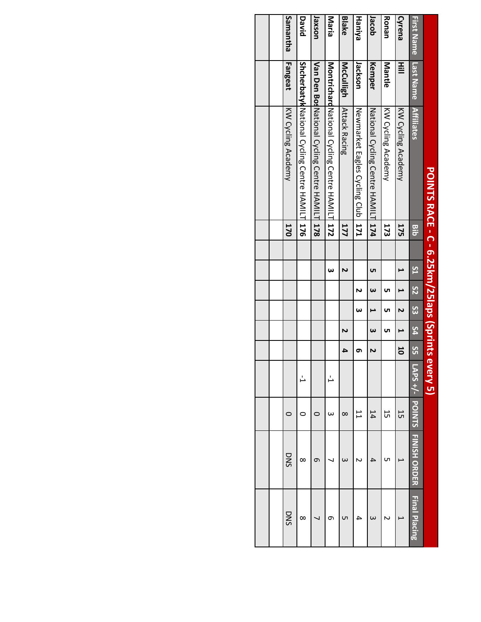|                   |                  | POINTS RACE - C - 6.25km/25laps (Sprints ev    |            |    |                          |          |           |    | rery 5  |               |                     |               |
|-------------------|------------------|------------------------------------------------|------------|----|--------------------------|----------|-----------|----|---------|---------------|---------------------|---------------|
| <b>First Name</b> | Last Name        | <b>Affiliates</b>                              | <b>Bib</b> | 51 | $\overline{\mathcal{S}}$ | $\infty$ | 54        | SS | APS +/- | <b>POINTS</b> | <b>FINISH ORDER</b> | Final Placing |
| Cyrena            | Hill             | KW Cycling Academy                             | 175        |    |                          |          |           | 50 |         | 15            |                     |               |
| Ronan             | Mantle           | KN Cycling Academy                             | 173        |    | uп                       | UΠ       | <b>υπ</b> |    |         | 15            | ഗ                   |               |
| Jacob             | Kemper           | National Cycling Centre HAMILT 174             |            | uп | $\omega$                 |          | $\omega$  | N  |         | 14            |                     |               |
| Haniya            | Jackson          | Newmarket Eagles Cycling Club                  |            |    | N                        | ω        |           | თ  |         | IJ            |                     |               |
| <b>Blake</b>      | <b>McCulligh</b> | <b>Attack Racing</b>                           | 177        | 2  |                          |          | Z         | 4  |         | $\infty$      |                     |               |
| Maria             |                  | Montrichard National Cycling Centre HAMILT 172 |            | ω  |                          |          |           |    |         | ω             |                     | ᡡ             |
| <b>Jaxson</b>     |                  | Van Den Bos National Cycling Centre HAMILT 178 |            |    |                          |          |           |    |         |               | σ                   |               |
| David             |                  | Shcherbatyk National Cycling Centre HAMILT 176 |            |    |                          |          |           |    |         |               | $\infty$            | ∞             |
| <b>Samantha</b>   | Fangeat          | KW Cycling Academy                             | <b>170</b> |    |                          |          |           |    |         |               | DNS                 | DNS           |
|                   |                  |                                                |            |    |                          |          |           |    |         |               |                     |               |
|                   |                  |                                                |            |    |                          |          |           |    |         |               |                     |               |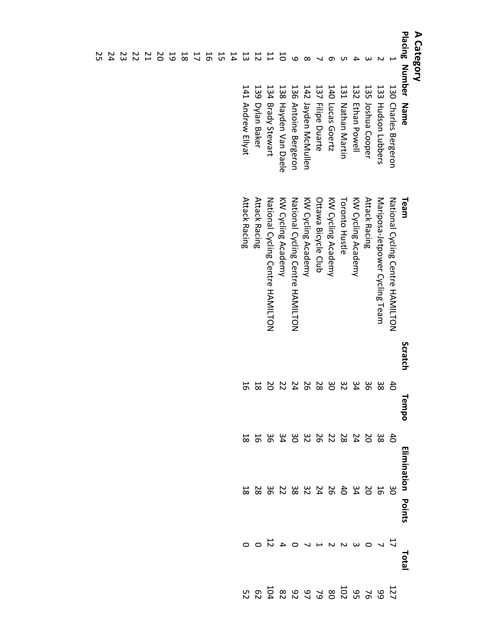| Placing Number Name<br>20<br>뉴<br>13<br>14<br>$\overline{c}$<br>$\overline{L}$<br>$\overline{5}$<br>5<br>$\frac{1}{8}$<br>5<br>ω |                      |                                  |         |                            |                           |              |                                       |                        |
|----------------------------------------------------------------------------------------------------------------------------------|----------------------|----------------------------------|---------|----------------------------|---------------------------|--------------|---------------------------------------|------------------------|
|                                                                                                                                  |                      | Team                             | Scratch | Tempo                      | <b>Elimination Points</b> |              | Tota                                  |                        |
|                                                                                                                                  | 130 Charles Bergeron | National Cycling Centre HAMILTON |         |                            |                           |              |                                       |                        |
|                                                                                                                                  | 133 Hudson Lubbers   | Mariposa-Jetpower Cycling Team   |         | 8<br>8 8 4 4 6 8 8 4 4 4 6 |                           | 120240623282 | 1<br><i>L</i> L O W U U U U O 4 U O O | $11898888888888888888$ |
|                                                                                                                                  | 135 Joshua Cooper    | <b>Attack Racing</b>             |         |                            |                           |              |                                       |                        |
|                                                                                                                                  | 132 Ethan Powell     | KW Cycling Academy               |         |                            |                           |              |                                       |                        |
|                                                                                                                                  | 131 Nathan Martin    | <b>Toronto Hustle</b>            |         |                            |                           |              |                                       |                        |
|                                                                                                                                  | 140 Lucas Goertz     | KW Cycling Academy               |         |                            |                           |              |                                       |                        |
|                                                                                                                                  | 137 Filipe Duarte    | Ottawa Bicycle Club              |         |                            |                           |              |                                       |                        |
|                                                                                                                                  | 142 Jayden McMullen  | KW Cycling Academy               |         |                            |                           |              |                                       |                        |
|                                                                                                                                  | 136 Antoine Bergeron | National Cycling Centre HAMILTON |         |                            |                           |              |                                       |                        |
|                                                                                                                                  | 138 Hayden Van Daele | KW Cycling Academy               |         |                            |                           |              |                                       |                        |
|                                                                                                                                  | 134 Brady Stewart    | National Cycling Centre HAMILTON |         |                            |                           |              |                                       |                        |
|                                                                                                                                  | 139 Dylan Baker      | <b>Attack Racing</b>             |         | $^{18}$                    |                           |              |                                       |                        |
|                                                                                                                                  | 141 Andrew Ellyat    | Attack Racing                    |         | 16                         |                           |              |                                       |                        |
|                                                                                                                                  |                      |                                  |         |                            |                           |              |                                       |                        |
|                                                                                                                                  |                      |                                  |         |                            |                           |              |                                       |                        |
|                                                                                                                                  |                      |                                  |         |                            |                           |              |                                       |                        |
|                                                                                                                                  |                      |                                  |         |                            |                           |              |                                       |                        |
|                                                                                                                                  |                      |                                  |         |                            |                           |              |                                       |                        |
|                                                                                                                                  |                      |                                  |         |                            |                           |              |                                       |                        |
|                                                                                                                                  |                      |                                  |         |                            |                           |              |                                       |                        |
|                                                                                                                                  |                      |                                  |         |                            |                           |              |                                       |                        |

24 23 22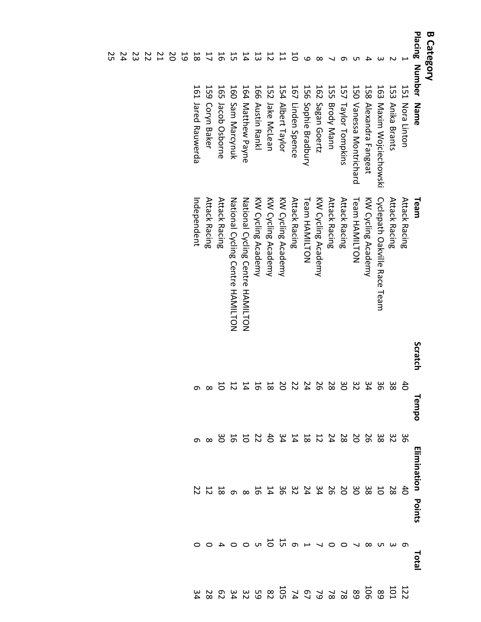| <b>B Category</b>                      |                         |                                  |                                                                     |       |                        |                                            |              |                   |
|----------------------------------------|-------------------------|----------------------------------|---------------------------------------------------------------------|-------|------------------------|--------------------------------------------|--------------|-------------------|
| Placing Number Name                    |                         | Team                             | Scratch                                                             | Tempo | Elimination<br>Points  |                                            | <b>Total</b> |                   |
|                                        | 151 Nora Linton         | <b>Attack Racing</b>             |                                                                     |       |                        | đ                                          |              |                   |
|                                        | 153 Anika Brants        | <b>Attack Racing</b>             |                                                                     |       | 3033202311241241124386 |                                            |              | $111808888882527$ |
|                                        | 163 Maxim Wojciechowski | Cyclepath Oakville Race Team     |                                                                     |       |                        |                                            |              |                   |
|                                        | 158 Alexandra Fangeat   | KW Cycling Academy               |                                                                     |       |                        |                                            |              |                   |
|                                        | 150 Vanessa Montrichard | Team HAMILTON                    |                                                                     |       |                        |                                            |              |                   |
|                                        | 157 Taylor Tompkins     | <b>Attack Racing</b>             |                                                                     |       |                        |                                            |              |                   |
|                                        | 155 Brody Mann          | <b>Attack Racing</b>             |                                                                     |       |                        |                                            |              |                   |
|                                        | 162 Sagan Goertz        | KW Cycling Academy               |                                                                     |       |                        |                                            |              |                   |
| مە                                     | 156 Sophie Bradbury     | <b>Feam HAMILTON</b>             |                                                                     |       |                        |                                            |              |                   |
| 5                                      | 167 Linden Spence       | <b>Attack Racing</b>             |                                                                     |       |                        |                                            |              |                   |
|                                        | 154 Albert Taylor       | KW Cycling Academy               | 33 33 33 32 32 32 32 32 33 4<br>8 6 4 7 0 8 6 4 7 0 8 9 4 5 7 0 8 0 |       |                        | 22 3 3 3 3 4 4 4 4 4 4 4 4 4 5 8 6 9 8 7 4 |              |                   |
|                                        | 152 Jake McLean         | KW Cycling Academy               |                                                                     |       |                        |                                            |              |                   |
| $\begin{array}{c} 11 \\ 1 \end{array}$ | 166 Austin Rankl        | KW Cycling Academy               |                                                                     |       |                        |                                            |              |                   |
| 14                                     | 164 Matthew Payne       | National Cycling Centre HAMILTON |                                                                     |       |                        |                                            |              |                   |
| 15                                     | 160 Sam Marcynuk        | National Cycling Centre HAMILTON |                                                                     |       |                        |                                            |              |                   |
| 5<br>16                                | 165 Jacob Osborne       | <b>Attack Racing</b>             |                                                                     |       |                        |                                            |              |                   |
| $\overline{L}$                         | 159 Coryn Baker         | <b>Attack Racing</b>             |                                                                     |       |                        |                                            |              |                   |
| 81                                     | 161 Jared Rauwerda      | Independent                      |                                                                     |       |                        |                                            |              |                   |
| 19                                     |                         |                                  |                                                                     |       |                        |                                            |              |                   |
|                                        |                         |                                  |                                                                     |       |                        |                                            |              |                   |
|                                        |                         |                                  |                                                                     |       |                        |                                            |              |                   |
|                                        |                         |                                  |                                                                     |       |                        |                                            |              |                   |

24 23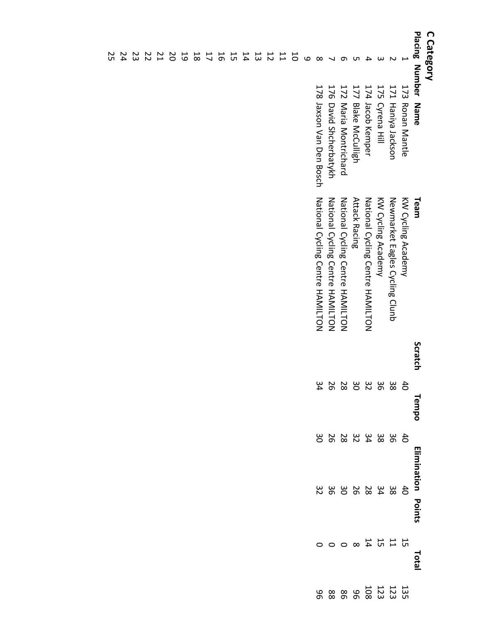| C Category    | Placing Number Name      | Team                             | Scratch | Tempo | Elimination<br>Points                  |    | Total                                                                                  |                                                                                |
|---------------|--------------------------|----------------------------------|---------|-------|----------------------------------------|----|----------------------------------------------------------------------------------------|--------------------------------------------------------------------------------|
|               | 173 Ronan Mantle         | KW Cycling Academy               |         | đ,    |                                        | đ  |                                                                                        |                                                                                |
|               | 171 Haniya Jackson       | Newmarket Eagles Cycling Clunb   |         | အ     | 4 3 3 3 4 4 8 6 9 7<br>0 6 8 4 4 8 6 0 |    | $\begin{array}{cccccccccc} 11&1&1&2&0&0&0&0 \\ \text{R} & 1&1&1&2&0&0&0&0 \end{array}$ | $\frac{13}{23}$ $\frac{17}{23}$ $\frac{17}{23}$ $\frac{17}{28}$ $\frac{18}{8}$ |
|               | 175 Cyrena Hill          | KW Cycling Academy               |         | ၁၉    |                                        |    |                                                                                        |                                                                                |
|               | 174 Jacob Kemper         | National Cycling Centre HAMILTON |         | 32    |                                        |    |                                                                                        |                                                                                |
|               | 177 Blake McCulligh      | <b>Attack Racing</b>             |         | δg    |                                        |    |                                                                                        |                                                                                |
|               | 172 Maria Montrichard    | National Cycling Centre HAMILTON |         | 28    |                                        |    |                                                                                        |                                                                                |
|               | 176 David Shcherbatykh   | National Cycling Centre HAMILTON |         | 26    |                                        |    |                                                                                        | $88\,$                                                                         |
| $\infty$      | 178 Jaxson Van Den Bosch | National Cycling Centre HAMILTON |         | 34    |                                        | 32 |                                                                                        | 96                                                                             |
| ω             |                          |                                  |         |       |                                        |    |                                                                                        |                                                                                |
|               |                          |                                  |         |       |                                        |    |                                                                                        |                                                                                |
| 1111          |                          |                                  |         |       |                                        |    |                                                                                        |                                                                                |
|               |                          |                                  |         |       |                                        |    |                                                                                        |                                                                                |
| 13            |                          |                                  |         |       |                                        |    |                                                                                        |                                                                                |
| $\frac{1}{4}$ |                          |                                  |         |       |                                        |    |                                                                                        |                                                                                |
| 55            |                          |                                  |         |       |                                        |    |                                                                                        |                                                                                |
| 55            |                          |                                  |         |       |                                        |    |                                                                                        |                                                                                |
|               |                          |                                  |         |       |                                        |    |                                                                                        |                                                                                |
| $\frac{1}{8}$ |                          |                                  |         |       |                                        |    |                                                                                        |                                                                                |
| 5             |                          |                                  |         |       |                                        |    |                                                                                        |                                                                                |

2 2 2 2 2 2<br>2 4 4 7 2 2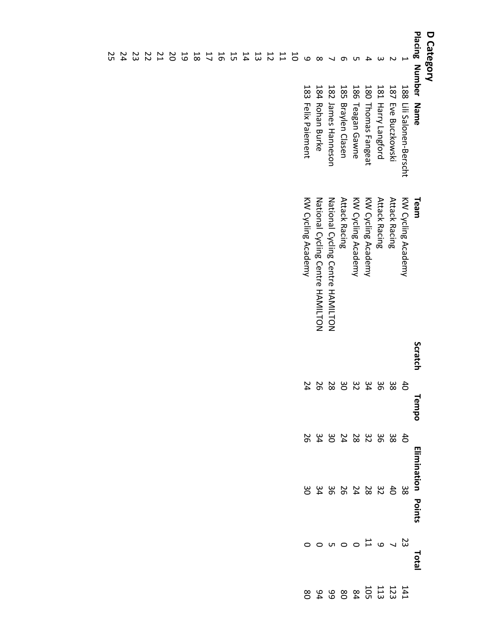| D Category     | Placing Number Name      | Team                             | Scratch | Tempo                                        | <b>Elimination Points</b>            |                                         | Total             |                                                                                                                                                                                                                                                                                                           |
|----------------|--------------------------|----------------------------------|---------|----------------------------------------------|--------------------------------------|-----------------------------------------|-------------------|-----------------------------------------------------------------------------------------------------------------------------------------------------------------------------------------------------------------------------------------------------------------------------------------------------------|
|                | 188 Lili Salonen-Berscht | KW Cycling Academy               |         |                                              |                                      | အိ                                      |                   |                                                                                                                                                                                                                                                                                                           |
|                | 187 Eve Buczkowski       | <b>Attack Racing</b>             |         | 4 3 3 3 3 3 4 5 6 7 6<br>0 8 6 4 7 0 8 6 6 4 | 4 3 3 3 3 4 5 4 5<br>0 8 6 7 8 4 0 4 | $\frac{4}{10}$                          | 23 2 3 0 0 10 0 0 | $\frac{11}{31}$ $\frac{11}{31}$ $\frac{11}{31}$ $\frac{11}{31}$ $\frac{11}{31}$ $\frac{11}{31}$ $\frac{11}{31}$ $\frac{11}{31}$ $\frac{11}{31}$ $\frac{11}{31}$ $\frac{11}{31}$ $\frac{11}{31}$ $\frac{11}{31}$ $\frac{11}{31}$ $\frac{11}{31}$ $\frac{11}{31}$ $\frac{11}{31}$ $\frac{11}{31}$ $\frac{1$ |
|                | 181 Harry Langford       | <b>Attack Racing</b>             |         |                                              |                                      |                                         |                   |                                                                                                                                                                                                                                                                                                           |
|                | 180 Thomas Fangeat       | KW Cycling Academy               |         |                                              |                                      | $\begin{array}{c} 32 \\ 28 \end{array}$ |                   |                                                                                                                                                                                                                                                                                                           |
|                | 186 Teagan Gawne         | KW Cycling Academy               |         |                                              |                                      |                                         |                   |                                                                                                                                                                                                                                                                                                           |
|                | 185 Braylen Clasen       | <b>Attack Racing</b>             |         |                                              |                                      | 240004                                  |                   |                                                                                                                                                                                                                                                                                                           |
|                | 182 James Hanneson       | National Cycling Centre HAMILTON |         |                                              |                                      |                                         |                   |                                                                                                                                                                                                                                                                                                           |
| $\infty$       | 184 Rohan Burke          | National Cycling Centre HAMILTON |         |                                              |                                      |                                         |                   |                                                                                                                                                                                                                                                                                                           |
| $\mathbf{o}$   | 183 Felix Paiement       | KW Cycling Academy               |         |                                              | 56                                   | 30                                      |                   |                                                                                                                                                                                                                                                                                                           |
|                |                          |                                  |         |                                              |                                      |                                         |                   |                                                                                                                                                                                                                                                                                                           |
| <b>1112555</b> |                          |                                  |         |                                              |                                      |                                         |                   |                                                                                                                                                                                                                                                                                                           |
|                |                          |                                  |         |                                              |                                      |                                         |                   |                                                                                                                                                                                                                                                                                                           |
|                |                          |                                  |         |                                              |                                      |                                         |                   |                                                                                                                                                                                                                                                                                                           |
|                |                          |                                  |         |                                              |                                      |                                         |                   |                                                                                                                                                                                                                                                                                                           |
|                |                          |                                  |         |                                              |                                      |                                         |                   |                                                                                                                                                                                                                                                                                                           |
|                |                          |                                  |         |                                              |                                      |                                         |                   |                                                                                                                                                                                                                                                                                                           |
| $\overline{L}$ |                          |                                  |         |                                              |                                      |                                         |                   |                                                                                                                                                                                                                                                                                                           |
| $^{8}$         |                          |                                  |         |                                              |                                      |                                         |                   |                                                                                                                                                                                                                                                                                                           |
| 19             |                          |                                  |         |                                              |                                      |                                         |                   |                                                                                                                                                                                                                                                                                                           |
| 20             |                          |                                  |         |                                              |                                      |                                         |                   |                                                                                                                                                                                                                                                                                                           |

2 2 2 2 2<br>2 2 3 2 2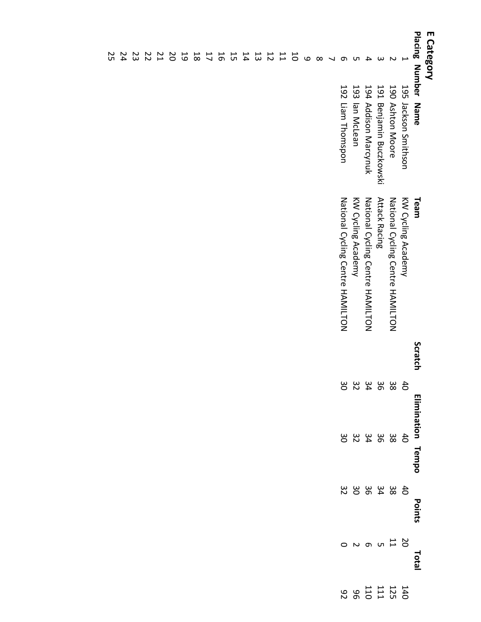| E Category               | Placing Number Name               | Team                             | Scratch | Elimination Tempo                                                     |         | Points  | Total        |                              |
|--------------------------|-----------------------------------|----------------------------------|---------|-----------------------------------------------------------------------|---------|---------|--------------|------------------------------|
| Ţ                        | 195 Jackson Strithson             | KW Cycling Academy               |         |                                                                       |         |         |              |                              |
| $\sim$                   | 190 Ashton Moore                  | National Cycling Centre HAMILTON |         | $\begin{array}{c}\n 4 & 0 \\  2 & 8 \\  \hline\n 0 & 4\n \end{array}$ | $38884$ | 40.8480 | 2011<br>2021 | 1525<br>1525<br>1526<br>1526 |
| $\omega$                 | <b>191</b><br>Benjamin Buczkowski | <b>Attack Racing</b>             |         |                                                                       |         |         |              |                              |
| 4                        | 194 Addison Marcynuk              | National Cycling Centre HAMILTON |         |                                                                       |         |         |              |                              |
| Uл                       | 193 lan McLean                    | KW Cycling Academy               |         | 32                                                                    | 32      |         |              |                              |
| Ō                        | 192 Liam Thomspon                 | National Cycling Centre HAMILTON |         | 30                                                                    | 30      | 32      | $\circ$      |                              |
| $\overline{\phantom{0}}$ |                                   |                                  |         |                                                                       |         |         |              |                              |
| $\infty$                 |                                   |                                  |         |                                                                       |         |         |              |                              |
| $\circ$                  |                                   |                                  |         |                                                                       |         |         |              |                              |
| $\overline{0}$           |                                   |                                  |         |                                                                       |         |         |              |                              |
| 11                       |                                   |                                  |         |                                                                       |         |         |              |                              |
| 12                       |                                   |                                  |         |                                                                       |         |         |              |                              |
| 13                       |                                   |                                  |         |                                                                       |         |         |              |                              |
| 14                       |                                   |                                  |         |                                                                       |         |         |              |                              |
| 15                       |                                   |                                  |         |                                                                       |         |         |              |                              |
| 16                       |                                   |                                  |         |                                                                       |         |         |              |                              |
| $\overline{1}$           |                                   |                                  |         |                                                                       |         |         |              |                              |
| $\overline{8}$           |                                   |                                  |         |                                                                       |         |         |              |                              |
| 19                       |                                   |                                  |         |                                                                       |         |         |              |                              |
| δS                       |                                   |                                  |         |                                                                       |         |         |              |                              |
| $^{21}$                  |                                   |                                  |         |                                                                       |         |         |              |                              |
| $\overline{z}$           |                                   |                                  |         |                                                                       |         |         |              |                              |
| 23                       |                                   |                                  |         |                                                                       |         |         |              |                              |
| 24                       |                                   |                                  |         |                                                                       |         |         |              |                              |
| Տ<br>5                   |                                   |                                  |         |                                                                       |         |         |              |                              |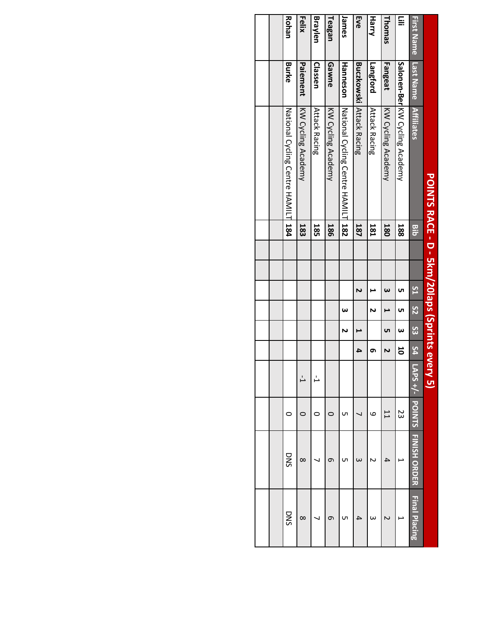|                   |                 | POINTS RACE - D - 5km/20laps (Sprints eve |            |  |                       |                 |     |    |         |               |                     |                      |
|-------------------|-----------------|-------------------------------------------|------------|--|-----------------------|-----------------|-----|----|---------|---------------|---------------------|----------------------|
| <b>First Name</b> | Last Name       | <b>Affiliates</b>                         | <b>Bib</b> |  | 51                    | $\overline{S2}$ | ယ္လ | 54 | APS +/- | <b>POINTS</b> | <b>TAINTSHORDER</b> | <b>Final Placing</b> |
| ≣                 |                 | Salonen-BerlKVV Cycling Academy           | 188        |  | uп                    | UΠ              | ω   | 5  |         | 23            |                     |                      |
| Thomas            | Fangeat         | KW Cycling Academy                        | 180        |  | $\boldsymbol{\omega}$ |                 | ŪΠ  | N  |         | IJ            | 4                   |                      |
| <b>Harry</b>      | Langford        | <b>Attack Racing</b>                      | <b>181</b> |  | ⊢                     | N               |     | თ  |         | ဖ             |                     | ω                    |
| Eve               |                 | <b>Buczkowski Attack Racing</b>           | <b>187</b> |  | Z                     |                 |     | 4  |         |               |                     |                      |
| James             | <b>Hanneson</b> | National Cycling Centre HAMIL             | 182        |  |                       | ω               |     |    |         | ഗ             | UП                  | UП                   |
| Teagan            | Gawne           | KW Cycling Academy                        | <b>186</b> |  |                       |                 |     |    |         |               | ه                   | თ                    |
| Braylen           | Classen         | <b>Attack Racing</b>                      | 185        |  |                       |                 |     |    |         |               |                     |                      |
| Felix             | Paiement        | KW Cycling Academy                        | 183        |  |                       |                 |     |    | Ŀ       |               | $\infty$            | $\infty$             |
| Rohan             | Burke           | National Cycling Centre HAMIL             | 184        |  |                       |                 |     |    |         |               | DNS                 | DNS                  |
|                   |                 |                                           |            |  |                       |                 |     |    |         |               |                     |                      |
|                   |                 |                                           |            |  |                       |                 |     |    |         |               |                     |                      |